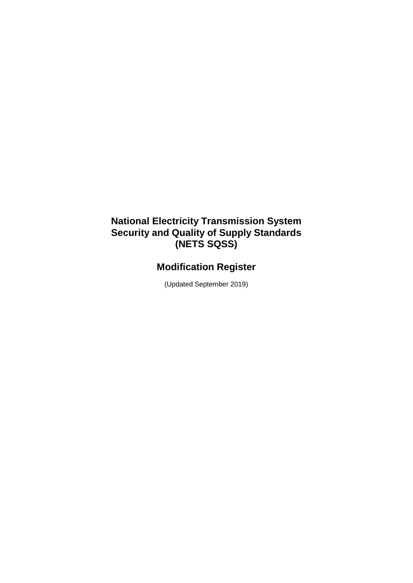## **National Electricity Transmission System Security and Quality of Supply Standards (NETS SQSS)**

## **Modification Register**

(Updated September 2019)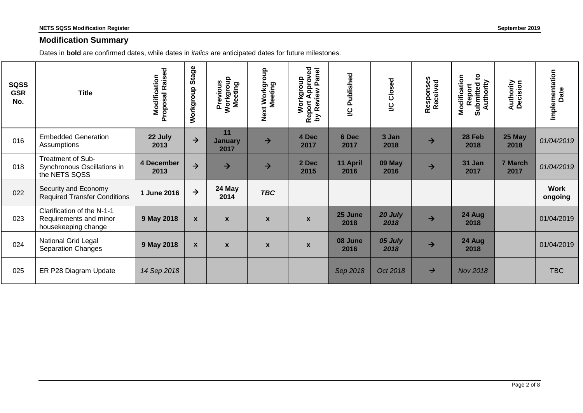## **Modification Summary**

Dates in **bold** are confirmed dates, while dates in *italics* are anticipated dates for future milestones.

| <b>SQSS</b><br><b>GSR</b><br>No. | <b>Title</b>                                                                | <b>Modification</b><br>Proposal Raised | Stage<br>Workgroup | Workgroup<br>Meeting<br>Previous | Workgroup<br>Meeting<br>Next | Report Approved<br>by Review Panel<br>Panel<br>Workgroup | Published<br>$\overline{6}$ | <b>I/C Closed</b> | Responses<br>Received | $\mathbf{c}$<br>Modification<br>Authority<br>Report<br>Submitted | <b>Authority</b><br>Decision | Implementation<br>Date |
|----------------------------------|-----------------------------------------------------------------------------|----------------------------------------|--------------------|----------------------------------|------------------------------|----------------------------------------------------------|-----------------------------|-------------------|-----------------------|------------------------------------------------------------------|------------------------------|------------------------|
| 016                              | <b>Embedded Generation</b><br>Assumptions                                   | 22 July<br>2013                        | $\rightarrow$      | 11<br><b>January</b><br>2017     | $\rightarrow$                | 4 Dec<br>2017                                            | 6 Dec<br>2017               | 3 Jan<br>2018     | $\rightarrow$         | 28 Feb<br>2018                                                   | 25 May<br>2018               | 01/04/2019             |
| 018                              | Treatment of Sub-<br>Synchronous Oscillations in<br>the NETS SQSS           | 4 December<br>2013                     | $\rightarrow$      | $\rightarrow$                    | $\rightarrow$                | 2 Dec<br>2015                                            | 11 April<br>2016            | 09 May<br>2016    | $\rightarrow$         | 31 Jan<br>2017                                                   | 7 March<br>2017              | 01/04/2019             |
| 022                              | Security and Economy<br><b>Required Transfer Conditions</b>                 | 1 June 2016                            | $\rightarrow$      | 24 May<br>2014                   | <b>TBC</b>                   |                                                          |                             |                   |                       |                                                                  |                              | <b>Work</b><br>ongoing |
| 023                              | Clarification of the N-1-1<br>Requirements and minor<br>housekeeping change | 9 May 2018                             | $\boldsymbol{x}$   | $\boldsymbol{x}$                 | $\boldsymbol{x}$             | $\boldsymbol{x}$                                         | 25 June<br>2018             | 20 July<br>2018   | $\rightarrow$         | 24 Aug<br>2018                                                   |                              | 01/04/2019             |
| 024                              | National Grid Legal<br><b>Separation Changes</b>                            | 9 May 2018                             | $\mathbf{x}$       | $\boldsymbol{x}$                 | $\mathbf{x}$                 | $\mathbf{x}$                                             | 08 June<br>2016             | 05 July<br>2018   | $\rightarrow$         | 24 Aug<br>2018                                                   |                              | 01/04/2019             |
| 025                              | ER P28 Diagram Update                                                       | 14 Sep 2018                            |                    |                                  |                              |                                                          | Sep 2018                    | Oct 2018          | $\rightarrow$         | <b>Nov 2018</b>                                                  |                              | <b>TBC</b>             |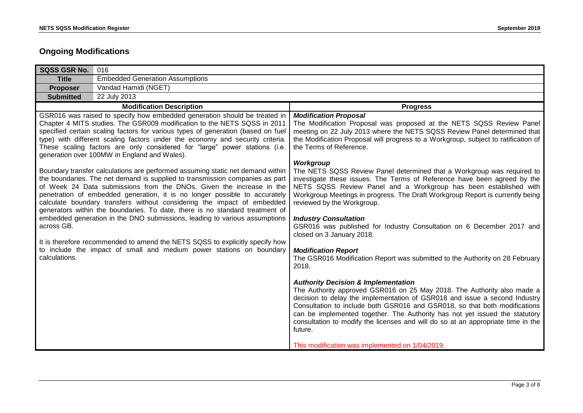## **Ongoing Modifications**

| <b>SQSS GSR No.</b>         | 016                                                                                                                                                                                                                                                                                                                                                                                                                                                                                                                                                                                                                                                                                                                                                                                                                                                                                                                                                                                                                                                                                                                                                                               |                                                                                                                                                                                                                                                                                                                                                                                                                                                                                                                                                                                                                                                                                                                                                                                                                                                                                                                                                                                                                                                                                                                                                                                                                                                                                                                                                                                                                                                |  |  |  |
|-----------------------------|-----------------------------------------------------------------------------------------------------------------------------------------------------------------------------------------------------------------------------------------------------------------------------------------------------------------------------------------------------------------------------------------------------------------------------------------------------------------------------------------------------------------------------------------------------------------------------------------------------------------------------------------------------------------------------------------------------------------------------------------------------------------------------------------------------------------------------------------------------------------------------------------------------------------------------------------------------------------------------------------------------------------------------------------------------------------------------------------------------------------------------------------------------------------------------------|------------------------------------------------------------------------------------------------------------------------------------------------------------------------------------------------------------------------------------------------------------------------------------------------------------------------------------------------------------------------------------------------------------------------------------------------------------------------------------------------------------------------------------------------------------------------------------------------------------------------------------------------------------------------------------------------------------------------------------------------------------------------------------------------------------------------------------------------------------------------------------------------------------------------------------------------------------------------------------------------------------------------------------------------------------------------------------------------------------------------------------------------------------------------------------------------------------------------------------------------------------------------------------------------------------------------------------------------------------------------------------------------------------------------------------------------|--|--|--|
| <b>Title</b>                | <b>Embedded Generation Assumptions</b>                                                                                                                                                                                                                                                                                                                                                                                                                                                                                                                                                                                                                                                                                                                                                                                                                                                                                                                                                                                                                                                                                                                                            |                                                                                                                                                                                                                                                                                                                                                                                                                                                                                                                                                                                                                                                                                                                                                                                                                                                                                                                                                                                                                                                                                                                                                                                                                                                                                                                                                                                                                                                |  |  |  |
| <b>Proposer</b>             | Vandad Hamidi (NGET)                                                                                                                                                                                                                                                                                                                                                                                                                                                                                                                                                                                                                                                                                                                                                                                                                                                                                                                                                                                                                                                                                                                                                              |                                                                                                                                                                                                                                                                                                                                                                                                                                                                                                                                                                                                                                                                                                                                                                                                                                                                                                                                                                                                                                                                                                                                                                                                                                                                                                                                                                                                                                                |  |  |  |
| <b>Submitted</b>            | 22 July 2013                                                                                                                                                                                                                                                                                                                                                                                                                                                                                                                                                                                                                                                                                                                                                                                                                                                                                                                                                                                                                                                                                                                                                                      |                                                                                                                                                                                                                                                                                                                                                                                                                                                                                                                                                                                                                                                                                                                                                                                                                                                                                                                                                                                                                                                                                                                                                                                                                                                                                                                                                                                                                                                |  |  |  |
|                             | <b>Modification Description</b>                                                                                                                                                                                                                                                                                                                                                                                                                                                                                                                                                                                                                                                                                                                                                                                                                                                                                                                                                                                                                                                                                                                                                   | <b>Progress</b>                                                                                                                                                                                                                                                                                                                                                                                                                                                                                                                                                                                                                                                                                                                                                                                                                                                                                                                                                                                                                                                                                                                                                                                                                                                                                                                                                                                                                                |  |  |  |
| across GB.<br>calculations. | GSR016 was raised to specify how embedded generation should be treated in<br>Chapter 4 MITS studies. The GSR009 modification to the NETS SQSS in 2011<br>specified certain scaling factors for various types of generation (based on fuel<br>type) with different scaling factors under the economy and security criteria.<br>These scaling factors are only considered for "large" power stations (i.e.<br>generation over 100MW in England and Wales).<br>Boundary transfer calculations are performed assuming static net demand within<br>the boundaries. The net demand is supplied to transmission companies as part<br>of Week 24 Data submissions from the DNOs. Given the increase in the<br>penetration of embedded generation, it is no longer possible to accurately<br>calculate boundary transfers without considering the impact of embedded<br>generators within the boundaries. To date, there is no standard treatment of<br>embedded generation in the DNO submissions, leading to various assumptions<br>It is therefore recommended to amend the NETS SQSS to explicitly specify how<br>to include the impact of small and medium power stations on boundary | <b>Modification Proposal</b><br>The Modification Proposal was proposed at the NETS SQSS Review Panel<br>meeting on 22 July 2013 where the NETS SQSS Review Panel determined that<br>the Modification Proposal will progress to a Workgroup, subject to ratification of<br>the Terms of Reference.<br>Workgroup<br>The NETS SQSS Review Panel determined that a Workgroup was required to<br>investigate these issues. The Terms of Reference have been agreed by the<br>NETS SQSS Review Panel and a Workgroup has been established with<br>Workgroup Meetings in progress. The Draft Workgroup Report is currently being<br>reviewed by the Workgroup.<br><b>Industry Consultation</b><br>GSR016 was published for Industry Consultation on 6 December 2017 and<br>closed on 3 January 2018.<br><b>Modification Report</b><br>The GSR016 Modification Report was submitted to the Authority on 28 February<br>2018.<br><b>Authority Decision &amp; Implementation</b><br>The Authority approved GSR016 on 25 May 2018. The Authority also made a<br>decision to delay the implementation of GSR018 and issue a second Industry<br>Consultation to include both GSR016 and GSR018, so that both modifications<br>can be implemented together. The Authority has not yet issued the statutory<br>consultation to modify the licenses and will do so at an appropriate time in the<br>future.<br>This modification was implemented on 1/04/2019. |  |  |  |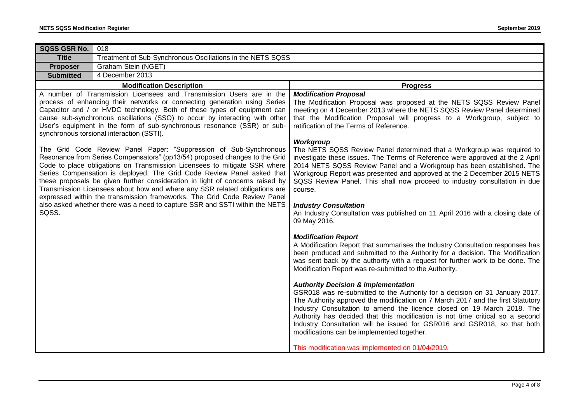| SQSS GSR No.     | 018                                                                                                                                                                                                                                                                                                                                                                                                                                                                                                                                                         |                                                                                                                                                                                                                                                                                                                                                                                                                                                                                                                                                                                                                      |  |  |  |
|------------------|-------------------------------------------------------------------------------------------------------------------------------------------------------------------------------------------------------------------------------------------------------------------------------------------------------------------------------------------------------------------------------------------------------------------------------------------------------------------------------------------------------------------------------------------------------------|----------------------------------------------------------------------------------------------------------------------------------------------------------------------------------------------------------------------------------------------------------------------------------------------------------------------------------------------------------------------------------------------------------------------------------------------------------------------------------------------------------------------------------------------------------------------------------------------------------------------|--|--|--|
| <b>Title</b>     | Treatment of Sub-Synchronous Oscillations in the NETS SQSS                                                                                                                                                                                                                                                                                                                                                                                                                                                                                                  |                                                                                                                                                                                                                                                                                                                                                                                                                                                                                                                                                                                                                      |  |  |  |
| <b>Proposer</b>  | Graham Stein (NGET)                                                                                                                                                                                                                                                                                                                                                                                                                                                                                                                                         |                                                                                                                                                                                                                                                                                                                                                                                                                                                                                                                                                                                                                      |  |  |  |
| <b>Submitted</b> | 4 December 2013                                                                                                                                                                                                                                                                                                                                                                                                                                                                                                                                             |                                                                                                                                                                                                                                                                                                                                                                                                                                                                                                                                                                                                                      |  |  |  |
|                  | <b>Modification Description</b>                                                                                                                                                                                                                                                                                                                                                                                                                                                                                                                             | <b>Progress</b>                                                                                                                                                                                                                                                                                                                                                                                                                                                                                                                                                                                                      |  |  |  |
|                  | A number of Transmission Licensees and Transmission Users are in the<br>process of enhancing their networks or connecting generation using Series<br>Capacitor and / or HVDC technology. Both of these types of equipment can<br>cause sub-synchronous oscillations (SSO) to occur by interacting with other<br>User's equipment in the form of sub-synchronous resonance (SSR) or sub-<br>synchronous torsional interaction (SSTI).<br>The Grid Code Review Panel Paper: "Suppression of Sub-Synchronous                                                   | <b>Modification Proposal</b><br>The Modification Proposal was proposed at the NETS SQSS Review Panel<br>meeting on 4 December 2013 where the NETS SQSS Review Panel determined<br>that the Modification Proposal will progress to a Workgroup, subject to<br>ratification of the Terms of Reference.<br>Workgroup<br>The NETS SQSS Review Panel determined that a Workgroup was required to                                                                                                                                                                                                                          |  |  |  |
|                  | Resonance from Series Compensators" (pp13/54) proposed changes to the Grid<br>Code to place obligations on Transmission Licensees to mitigate SSR where<br>Series Compensation is deployed. The Grid Code Review Panel asked that<br>these proposals be given further consideration in light of concerns raised by<br>Transmission Licensees about how and where any SSR related obligations are<br>expressed within the transmission frameworks. The Grid Code Review Panel<br>also asked whether there was a need to capture SSR and SSTI within the NETS | investigate these issues. The Terms of Reference were approved at the 2 April<br>2014 NETS SQSS Review Panel and a Workgroup has been established. The<br>Workgroup Report was presented and approved at the 2 December 2015 NETS<br>SQSS Review Panel. This shall now proceed to industry consultation in due<br>course.<br><b>Industry Consultation</b>                                                                                                                                                                                                                                                            |  |  |  |
| SQSS.            |                                                                                                                                                                                                                                                                                                                                                                                                                                                                                                                                                             | An Industry Consultation was published on 11 April 2016 with a closing date of<br>09 May 2016.<br><b>Modification Report</b><br>A Modification Report that summarises the Industry Consultation responses has<br>been produced and submitted to the Authority for a decision. The Modification<br>was sent back by the authority with a request for further work to be done. The                                                                                                                                                                                                                                     |  |  |  |
|                  |                                                                                                                                                                                                                                                                                                                                                                                                                                                                                                                                                             | Modification Report was re-submitted to the Authority.<br><b>Authority Decision &amp; Implementation</b><br>GSR018 was re-submitted to the Authority for a decision on 31 January 2017.<br>The Authority approved the modification on 7 March 2017 and the first Statutory<br>Industry Consultation to amend the licence closed on 19 March 2018. The<br>Authority has decided that this modification is not time critical so a second<br>Industry Consultation will be issued for GSR016 and GSR018, so that both<br>modifications can be implemented together.<br>This modification was implemented on 01/04/2019. |  |  |  |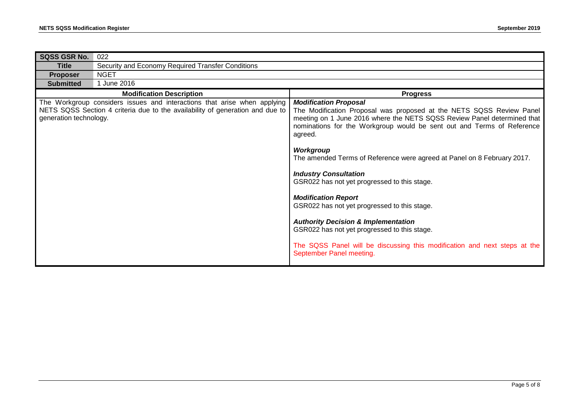| <b>SQSS GSR No.</b>    | 022                                                                                                                                                       |                                                                                                                                                                                                                                                                                                                                                                                                                                                                                                                                                                                                                                                                                                                                       |  |  |  |
|------------------------|-----------------------------------------------------------------------------------------------------------------------------------------------------------|---------------------------------------------------------------------------------------------------------------------------------------------------------------------------------------------------------------------------------------------------------------------------------------------------------------------------------------------------------------------------------------------------------------------------------------------------------------------------------------------------------------------------------------------------------------------------------------------------------------------------------------------------------------------------------------------------------------------------------------|--|--|--|
| <b>Title</b>           | Security and Economy Required Transfer Conditions                                                                                                         |                                                                                                                                                                                                                                                                                                                                                                                                                                                                                                                                                                                                                                                                                                                                       |  |  |  |
| <b>Proposer</b>        | <b>NGET</b>                                                                                                                                               |                                                                                                                                                                                                                                                                                                                                                                                                                                                                                                                                                                                                                                                                                                                                       |  |  |  |
| <b>Submitted</b>       | 1 June 2016                                                                                                                                               |                                                                                                                                                                                                                                                                                                                                                                                                                                                                                                                                                                                                                                                                                                                                       |  |  |  |
|                        | <b>Modification Description</b>                                                                                                                           | <b>Progress</b>                                                                                                                                                                                                                                                                                                                                                                                                                                                                                                                                                                                                                                                                                                                       |  |  |  |
| generation technology. | The Workgroup considers issues and interactions that arise when applying<br>NETS SQSS Section 4 criteria due to the availability of generation and due to | <b>Modification Proposal</b><br>The Modification Proposal was proposed at the NETS SQSS Review Panel<br>meeting on 1 June 2016 where the NETS SQSS Review Panel determined that<br>nominations for the Workgroup would be sent out and Terms of Reference<br>agreed.<br>Workgroup<br>The amended Terms of Reference were agreed at Panel on 8 February 2017.<br><b>Industry Consultation</b><br>GSR022 has not yet progressed to this stage.<br><b>Modification Report</b><br>GSR022 has not yet progressed to this stage.<br><b>Authority Decision &amp; Implementation</b><br>GSR022 has not yet progressed to this stage.<br>The SQSS Panel will be discussing this modification and next steps at the<br>September Panel meeting. |  |  |  |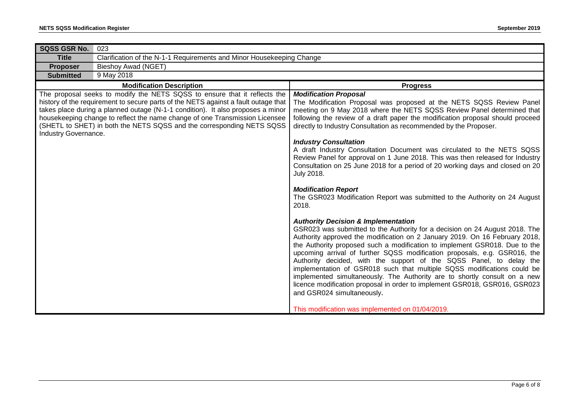| <b>SQSS GSR No.</b>  | 023                                                                                                                                                                                                                                                                                                                                                                                                        |                                                                                                                                                                                                                                                                                                                                                                                                                                                                                                                                                                                                                                                                                                                                                                                                           |  |  |  |
|----------------------|------------------------------------------------------------------------------------------------------------------------------------------------------------------------------------------------------------------------------------------------------------------------------------------------------------------------------------------------------------------------------------------------------------|-----------------------------------------------------------------------------------------------------------------------------------------------------------------------------------------------------------------------------------------------------------------------------------------------------------------------------------------------------------------------------------------------------------------------------------------------------------------------------------------------------------------------------------------------------------------------------------------------------------------------------------------------------------------------------------------------------------------------------------------------------------------------------------------------------------|--|--|--|
| <b>Title</b>         | Clarification of the N-1-1 Requirements and Minor Housekeeping Change                                                                                                                                                                                                                                                                                                                                      |                                                                                                                                                                                                                                                                                                                                                                                                                                                                                                                                                                                                                                                                                                                                                                                                           |  |  |  |
| <b>Proposer</b>      | <b>Bieshoy Awad (NGET)</b>                                                                                                                                                                                                                                                                                                                                                                                 |                                                                                                                                                                                                                                                                                                                                                                                                                                                                                                                                                                                                                                                                                                                                                                                                           |  |  |  |
| <b>Submitted</b>     | 9 May 2018                                                                                                                                                                                                                                                                                                                                                                                                 |                                                                                                                                                                                                                                                                                                                                                                                                                                                                                                                                                                                                                                                                                                                                                                                                           |  |  |  |
|                      | <b>Modification Description</b>                                                                                                                                                                                                                                                                                                                                                                            | <b>Progress</b>                                                                                                                                                                                                                                                                                                                                                                                                                                                                                                                                                                                                                                                                                                                                                                                           |  |  |  |
| Industry Governance. | The proposal seeks to modify the NETS SQSS to ensure that it reflects the<br>history of the requirement to secure parts of the NETS against a fault outage that<br>takes place during a planned outage (N-1-1 condition). It also proposes a minor<br>housekeeping change to reflect the name change of one Transmission Licensee<br>(SHETL to SHET) in both the NETS SQSS and the corresponding NETS SQSS | <b>Modification Proposal</b><br>The Modification Proposal was proposed at the NETS SQSS Review Panel<br>meeting on 9 May 2018 where the NETS SQSS Review Panel determined that<br>following the review of a draft paper the modification proposal should proceed<br>directly to Industry Consultation as recommended by the Proposer.<br><b>Industry Consultation</b><br>A draft Industry Consultation Document was circulated to the NETS SQSS<br>Review Panel for approval on 1 June 2018. This was then released for Industry<br>Consultation on 25 June 2018 for a period of 20 working days and closed on 20<br>July 2018.                                                                                                                                                                           |  |  |  |
|                      |                                                                                                                                                                                                                                                                                                                                                                                                            | <b>Modification Report</b><br>The GSR023 Modification Report was submitted to the Authority on 24 August<br>2018.<br><b>Authority Decision &amp; Implementation</b><br>GSR023 was submitted to the Authority for a decision on 24 August 2018. The<br>Authority approved the modification on 2 January 2019. On 16 February 2018,<br>the Authority proposed such a modification to implement GSR018. Due to the<br>upcoming arrival of further SQSS modification proposals, e.g. GSR016, the<br>Authority decided, with the support of the SQSS Panel, to delay the<br>implementation of GSR018 such that multiple SQSS modifications could be<br>implemented simultaneously. The Authority are to shortly consult on a new<br>licence modification proposal in order to implement GSR018, GSR016, GSR023 |  |  |  |
|                      |                                                                                                                                                                                                                                                                                                                                                                                                            | and GSR024 simultaneously.<br>This modification was implemented on 01/04/2019.                                                                                                                                                                                                                                                                                                                                                                                                                                                                                                                                                                                                                                                                                                                            |  |  |  |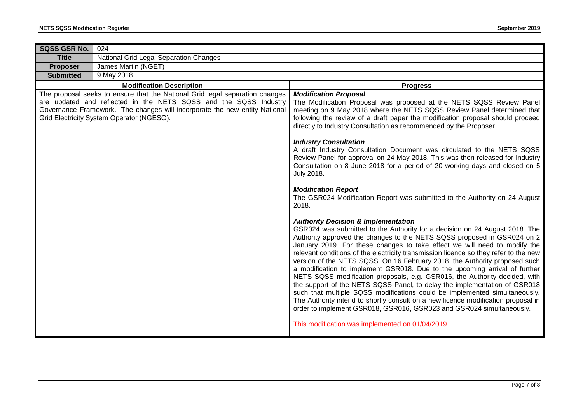| <b>SQSS GSR No.</b> | 024                                                                                                                                                                                                                                                                         |                                                                                                                                                                                                                                                                                                                                                                                                                                                                                                                                                                                                                                                                                                                                                                                                                                                                                                                                                                                                                                                                                                                                                                                                                                                                                                                                                                                                                                                                                                                                                                                                                                                                                                                                                           |  |  |  |
|---------------------|-----------------------------------------------------------------------------------------------------------------------------------------------------------------------------------------------------------------------------------------------------------------------------|-----------------------------------------------------------------------------------------------------------------------------------------------------------------------------------------------------------------------------------------------------------------------------------------------------------------------------------------------------------------------------------------------------------------------------------------------------------------------------------------------------------------------------------------------------------------------------------------------------------------------------------------------------------------------------------------------------------------------------------------------------------------------------------------------------------------------------------------------------------------------------------------------------------------------------------------------------------------------------------------------------------------------------------------------------------------------------------------------------------------------------------------------------------------------------------------------------------------------------------------------------------------------------------------------------------------------------------------------------------------------------------------------------------------------------------------------------------------------------------------------------------------------------------------------------------------------------------------------------------------------------------------------------------------------------------------------------------------------------------------------------------|--|--|--|
| <b>Title</b>        | National Grid Legal Separation Changes                                                                                                                                                                                                                                      |                                                                                                                                                                                                                                                                                                                                                                                                                                                                                                                                                                                                                                                                                                                                                                                                                                                                                                                                                                                                                                                                                                                                                                                                                                                                                                                                                                                                                                                                                                                                                                                                                                                                                                                                                           |  |  |  |
| <b>Proposer</b>     | James Martin (NGET)                                                                                                                                                                                                                                                         |                                                                                                                                                                                                                                                                                                                                                                                                                                                                                                                                                                                                                                                                                                                                                                                                                                                                                                                                                                                                                                                                                                                                                                                                                                                                                                                                                                                                                                                                                                                                                                                                                                                                                                                                                           |  |  |  |
| <b>Submitted</b>    | 9 May 2018                                                                                                                                                                                                                                                                  |                                                                                                                                                                                                                                                                                                                                                                                                                                                                                                                                                                                                                                                                                                                                                                                                                                                                                                                                                                                                                                                                                                                                                                                                                                                                                                                                                                                                                                                                                                                                                                                                                                                                                                                                                           |  |  |  |
|                     | <b>Modification Description</b>                                                                                                                                                                                                                                             | <b>Progress</b>                                                                                                                                                                                                                                                                                                                                                                                                                                                                                                                                                                                                                                                                                                                                                                                                                                                                                                                                                                                                                                                                                                                                                                                                                                                                                                                                                                                                                                                                                                                                                                                                                                                                                                                                           |  |  |  |
|                     | The proposal seeks to ensure that the National Grid legal separation changes<br>are updated and reflected in the NETS SQSS and the SQSS Industry<br>Governance Framework. The changes will incorporate the new entity National<br>Grid Electricity System Operator (NGESO). | <b>Modification Proposal</b><br>The Modification Proposal was proposed at the NETS SQSS Review Panel<br>meeting on 9 May 2018 where the NETS SQSS Review Panel determined that<br>following the review of a draft paper the modification proposal should proceed<br>directly to Industry Consultation as recommended by the Proposer.<br><b>Industry Consultation</b><br>A draft Industry Consultation Document was circulated to the NETS SQSS<br>Review Panel for approval on 24 May 2018. This was then released for Industry<br>Consultation on 8 June 2018 for a period of 20 working days and closed on 5<br>July 2018.<br><b>Modification Report</b><br>The GSR024 Modification Report was submitted to the Authority on 24 August<br>2018.<br><b>Authority Decision &amp; Implementation</b><br>GSR024 was submitted to the Authority for a decision on 24 August 2018. The<br>Authority approved the changes to the NETS SQSS proposed in GSR024 on 2<br>January 2019. For these changes to take effect we will need to modify the<br>relevant conditions of the electricity transmission licence so they refer to the new<br>version of the NETS SQSS. On 16 February 2018, the Authority proposed such<br>a modification to implement GSR018. Due to the upcoming arrival of further<br>NETS SQSS modification proposals, e.g. GSR016, the Authority decided, with<br>the support of the NETS SQSS Panel, to delay the implementation of GSR018<br>such that multiple SQSS modifications could be implemented simultaneously.<br>The Authority intend to shortly consult on a new licence modification proposal in<br>order to implement GSR018, GSR016, GSR023 and GSR024 simultaneously.<br>This modification was implemented on 01/04/2019. |  |  |  |